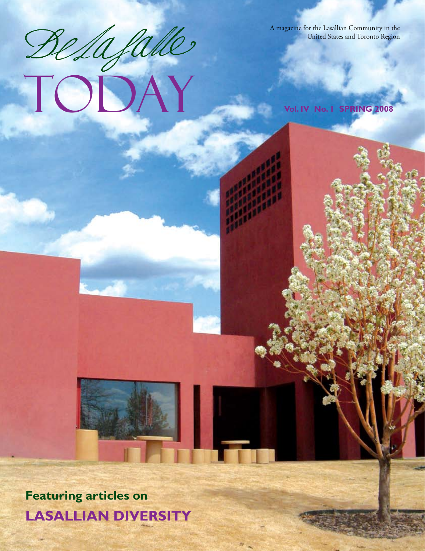Belafake

A magazine for the Lasallian Community in the United States and Toronto Region

**Vol. IV No. 1 SPRING 2008**

**Featuring articles on LASALLIAN DIVERSITY**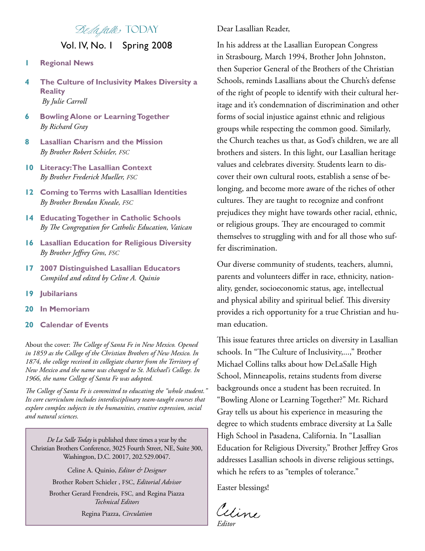### *Defafalle* TODAY

#### Vol. IV, No. 1 Spring 2008

- **1 Regional News**
- **4 The Culture of Inclusivity Makes Diversity a Reality** *By Julie Carroll*
- **6 Bowling Alone or Learning Together** *By Richard Gray*
- **8 Lasallian Charism and the Mission** *By Brother Robert Schieler, FSC*
- **10 Literacy: The Lasallian Context** *By Brother Frederick Mueller, FSC*
- **12 Coming to Terms with Lasallian Identities** *By Brother Brendan Kneale, FSC*
- **14 Educating Together in Catholic Schools** *By The Congregation for Catholic Education, Vatican*
- **16 Lasallian Education for Religious Diversity** *By Brother Jeffrey Gros, FSC*
- **17 2007 Distinguished Lasallian Educators** *Compiled and edited by Celine A. Quinio*
- **19 Jubilarians**
- **20 In Memoriam**
- **20 Calendar of Events**

About the cover: *The College of Santa Fe in New Mexico. Opened in 1859 as the College of the Christian Brothers of New Mexico. In 1874, the college received its collegiate charter from the Territory of New Mexico and the name was changed to St. Michael's College. In 1966, the name College of Santa Fe was adopted.*

*The College of Santa Fe is committed to educating the "whole student." Its core curriculum includes interdisciplinary team-taught courses that explore complex subjects in the humanities, creative expression, social and natural sciences.*

*De La Salle Today* is published three times a year by the Christian Brothers Conference, 3025 Fourth Street, NE, Suite 300, Washington, D.C. 20017, 202.529.0047.

> Celine A. Quinio, *Editor & Designer* Brother Robert Schieler , FSC, *Editorial Advisor*

Brother Gerard Frendreis, FSC, and Regina Piazza *Technical Editors*

Regina Piazza, *Circulation*

#### Dear Lasallian Reader,

In his address at the Lasallian European Congress in Strasbourg, March 1994, Brother John Johnston, then Superior General of the Brothers of the Christian Schools, reminds Lasallians about the Church's defense of the right of people to identify with their cultural heritage and it's condemnation of discrimination and other forms of social injustice against ethnic and religious groups while respecting the common good. Similarly, the Church teaches us that, as God's children, we are all brothers and sisters. In this light, our Lasallian heritage values and celebrates diversity. Students learn to discover their own cultural roots, establish a sense of belonging, and become more aware of the riches of other cultures. They are taught to recognize and confront prejudices they might have towards other racial, ethnic, or religious groups. They are encouraged to commit themselves to struggling with and for all those who suffer discrimination.

Our diverse community of students, teachers, alumni, parents and volunteers differ in race, ethnicity, nationality, gender, socioeconomic status, age, intellectual and physical ability and spiritual belief. This diversity provides a rich opportunity for a true Christian and human education.

This issue features three articles on diversity in Lasallian schools. In "The Culture of Inclusivity,...," Brother Michael Collins talks about how DeLaSalle High School, Minneapolis, retains students from diverse backgrounds once a student has been recruited. In "Bowling Alone or Learning Together?" Mr. Richard Gray tells us about his experience in measuring the degree to which students embrace diversity at La Salle High School in Pasadena, California. In "Lasallian Education for Religious Diversity," Brother Jeffrey Gros addresses Lasallian schools in diverse religious settings, which he refers to as "temples of tolerance."

Easter blessings!

Celine

*Editor*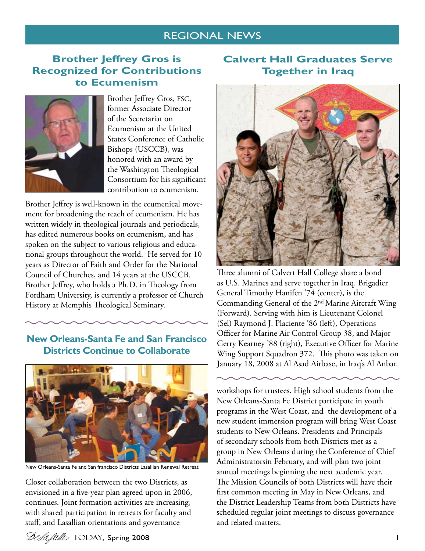### regional news

### **Brother Jeffrey Gros is Recognized for Contributions to Ecumenism**



Brother Jeffrey Gros, FSC, former Associate Director of the Secretariat on Ecumenism at the United States Conference of Catholic Bishops (USCCB), was honored with an award by the Washington Theological Consortium for his significant contribution to ecumenism.

Brother Jeffrey is well-known in the ecumenical movement for broadening the reach of ecumenism. He has written widely in theological journals and periodicals, has edited numerous books on ecumenism, and has spoken on the subject to various religious and educational groups throughout the world. He served for 10 years as Director of Faith and Order for the National Council of Churches, and 14 years at the USCCB. Brother Jeffrey, who holds a Ph.D. in Theology from Fordham University, is currently a professor of Church History at Memphis Theological Seminary.

### **New Orleans-Santa Fe and San Francisco Districts Continue to Collaborate**



New Orleans-Santa Fe and San francisco Districts Lasallian Renewal Retreat

Closer collaboration between the two Districts, as envisioned in a five-year plan agreed upon in 2006, continues. Joint formation activities are increasing, with shared participation in retreats for faculty and staff, and Lasallian orientations and governance

#### **Calvert Hall Graduates Serve Together in Iraq**



Three alumni of Calvert Hall College share a bond as U.S. Marines and serve together in Iraq. Brigadier General Timothy Hanifen '74 (center), is the Commanding General of the 2nd Marine Aircraft Wing (Forward). Serving with him is Lieutenant Colonel (Sel) Raymond J. Placiente '86 (left), Operations Officer for Marine Air Control Group 38, and Major Gerry Kearney '88 (right), Executive Officer for Marine Wing Support Squadron 372. This photo was taken on January 18, 2008 at Al Asad Airbase, in Iraq's Al Anbar.

workshops for trustees. High school students from the New Orleans-Santa Fe District participate in youth programs in the West Coast, and the development of a new student immersion program will bring West Coast students to New Orleans. Presidents and Principals of secondary schools from both Districts met as a group in New Orleans during the Conference of Chief Administratorsin February, and will plan two joint annual meetings beginning the next academic year. The Mission Councils of both Districts will have their first common meeting in May in New Orleans, and the District Leadership Teams from both Districts have scheduled regular joint meetings to discuss governance and related matters.

 $\frac{\partial \ell}{\partial q}$  TODAY, Spring 2008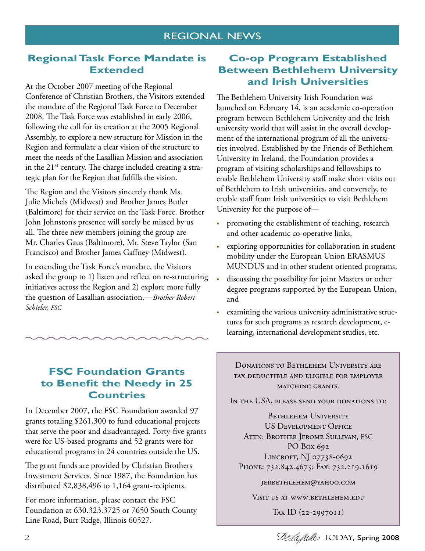## **Regional Task Force Mandate is Extended**

At the October 2007 meeting of the Regional Conference of Christian Brothers, the Visitors extended the mandate of the Regional Task Force to December 2008. The Task Force was established in early 2006, following the call for its creation at the 2005 Regional Assembly, to explore a new structure for Mission in the Region and formulate a clear vision of the structure to meet the needs of the Lasallian Mission and association in the 21st century. The charge included creating a strategic plan for the Region that fulfills the vision.

The Region and the Visitors sincerely thank Ms. Julie Michels (Midwest) and Brother James Butler (Baltimore) for their service on the Task Force. Brother John Johnston's presence will sorely be missed by us all. The three new members joining the group are Mr. Charles Gaus (Baltimore), Mr. Steve Taylor (San Francisco) and Brother James Gaffney (Midwest).

In extending the Task Force's mandate, the Visitors asked the group to 1) listen and reflect on re-structuring initiatives across the Region and 2) explore more fully the question of Lasallian association.—*Brother Robert Schieler, FSC*

## **Co-op Program Established Between Bethlehem University and Irish Universities**

The Bethlehem University Irish Foundation was launched on February 14, is an academic co-operation program between Bethlehem University and the Irish university world that will assist in the overall development of the international program of all the universities involved. Established by the Friends of Bethlehem University in Ireland, the Foundation provides a program of visiting scholarships and fellowships to enable Bethlehem University staff make short visits out of Bethlehem to Irish universities, and conversely, to enable staff from Irish universities to visit Bethlehem University for the purpose of—

- promoting the establishment of teaching, research and other academic co-operative links,
- exploring opportunities for collaboration in student mobility under the European Union ERASMUS MUNDUS and in other student oriented programs,
- discussing the possibility for joint Masters or other degree programs supported by the European Union, and E
- examining the various university administrative struc tures for such programs as research development, elearning, international development studies, etc.

## **FSC Foundation Grants to Benefit the Needy in 25 Countries**

In December 2007, the FSC Foundation awarded 97 grants totaling \$261,300 to fund educational projects that serve the poor and disadvantaged. Forty-five grants were for US-based programs and 52 grants were for educational programs in 24 countries outside the US.

The grant funds are provided by Christian Brothers Investment Services. Since 1987, the Foundation has distributed \$2,838,496 to 1,164 grant-recipients.

For more information, please contact the FSC Foundation at 630.323.3725 or 7650 South County Line Road, Burr Ridge, Illinois 60527.

Donations to Bethlehem University are tax deductible and eligible for employer MATCHING GRANTS.

IN THE USA, PLEASE SEND YOUR DONATIONS TO:

Bethlehem University US Development Office ATTN: BROTHER JEROME SULLIVAN, FSC PO Box 692 LINCROFT, NJ 07738-0692 PHONE: 732.842.4675; FAX: 732.219.1619

jerbethlehem@yahoo.com

Visit us at www.bethlehem.edu

Tax ID (22-2997011)

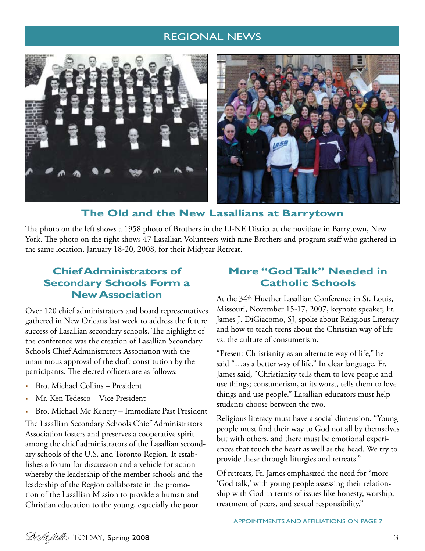#### regional news



### **The Old and the New Lasallians at Barrytown**

The photo on the left shows a 1958 photo of Brothers in the LI-NE Distict at the novitiate in Barrytown, New York. The photo on the right shows 47 Lasallian Volunteers with nine Brothers and program staff who gathered in the same location, January 18-20, 2008, for their Midyear Retreat.

## **Chief Administrators of Secondary Schools Form a New Association**

Over 120 chief administrators and board representatives gathered in New Orleans last week to address the future success of Lasallian secondary schools. The highlight of the conference was the creation of Lasallian Secondary Schools Chief Administrators Association with the unanimous approval of the draft constitution by the participants. The elected officers are as follows:

- Bro. Michael Collins President E
- Mr. Ken Tedesco Vice President E
- Bro. Michael Mc Kenery Immediate Past President a.

The Lasallian Secondary Schools Chief Administrators Association fosters and preserves a cooperative spirit among the chief administrators of the Lasallian secondary schools of the U.S. and Toronto Region. It establishes a forum for discussion and a vehicle for action whereby the leadership of the member schools and the leadership of the Region collaborate in the promotion of the Lasallian Mission to provide a human and Christian education to the young, especially the poor.

### **More "God Talk" Needed in Catholic Schools**

At the 34th Huether Lasallian Conference in St. Louis, Missouri, November 15-17, 2007, keynote speaker, Fr. James J. DiGiacomo, SJ, spoke about Religious Literacy and how to teach teens about the Christian way of life vs. the culture of consumerism.

"Present Christianity as an alternate way of life," he said "…as a better way of life." In clear language, Fr. James said, "Christianity tells them to love people and use things; consumerism, at its worst, tells them to love things and use people." Lasallian educators must help students choose between the two.

Religious literacy must have a social dimension. "Young people must find their way to God not all by themselves but with others, and there must be emotional experiences that touch the heart as well as the head. We try to provide these through liturgies and retreats."

Of retreats, Fr. James emphasized the need for "more 'God talk,' with young people assessing their relationship with God in terms of issues like honesty, worship, treatment of peers, and sexual responsibility."

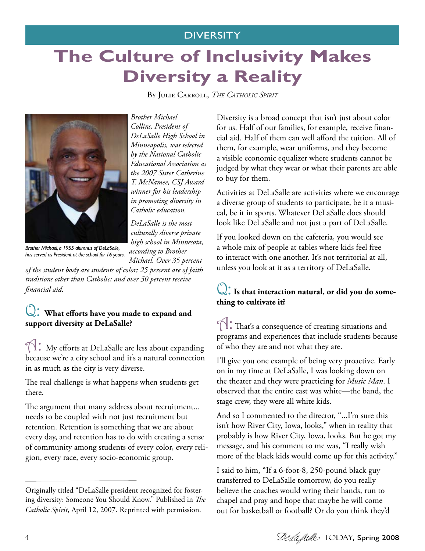## **DIVERSITY**

## **The Culture of Inclusivity Makes Diversity a Reality**

By Julie Carroll, *The Catholic Spirit*



*Brother Michael Collins, President of DeLaSalle High School in Minneapolis, was selected by the National Catholic Educational Association as the 2007 Sister Catherine T. McNamee, CSJ Award winner for his leadership in promoting diversity in Catholic education.*

*DeLaSalle is the most culturally diverse private high school in Minnesota, according to Brother Michael. Over 35 percent* 

*Brother Michael, a 1955 alumnus of DeLaSalle, has served as President at the school for 16 years.* 

*of the student body are students of color; 25 percent are of faith traditions other than Catholic; and over 50 percent receive financial aid.*

#### Q: **What efforts have you made to expand and support diversity at DeLaSalle?**

A: My efforts at DeLaSalle are less about expanding because we're a city school and it's a natural connection in as much as the city is very diverse.

The real challenge is what happens when students get there.

The argument that many address about recruitment... needs to be coupled with not just recruitment but retention. Retention is something that we are about every day, and retention has to do with creating a sense of community among students of every color, every religion, every race, every socio-economic group.

Diversity is a broad concept that isn't just about color for us. Half of our families, for example, receive financial aid. Half of them can well afford the tuition. All of them, for example, wear uniforms, and they become a visible economic equalizer where students cannot be judged by what they wear or what their parents are able to buy for them.

Activities at DeLaSalle are activities where we encourage a diverse group of students to participate, be it a musical, be it in sports. Whatever DeLaSalle does should look like DeLaSalle and not just a part of DeLaSalle.

If you looked down on the cafeteria, you would see a whole mix of people at tables where kids feel free to interact with one another. It's not territorial at all, unless you look at it as a territory of DeLaSalle.

### Q: **Is that interaction natural, or did you do something to cultivate it?**

 $\bigcap$  . That's a consequence of creating situations and programs and experiences that include students because of who they are and not what they are.

I'll give you one example of being very proactive. Early on in my time at DeLaSalle, I was looking down on the theater and they were practicing for *Music Man*. I observed that the entire cast was white—the band, the stage crew, they were all white kids.

And so I commented to the director, "...I'm sure this isn't how River City, Iowa, looks," when in reality that probably is how River City, Iowa, looks. But he got my message, and his comment to me was, "I really wish more of the black kids would come up for this activity."

I said to him, "If a 6-foot-8, 250-pound black guy transferred to DeLaSalle tomorrow, do you really believe the coaches would wring their hands, run to chapel and pray and hope that maybe he will come out for basketball or football? Or do you think they'd

Originally titled "DeLaSalle president recognized for fostering diversity: Someone You Should Know." Published in *The Catholic Spirit*, April 12, 2007. Reprinted with permission.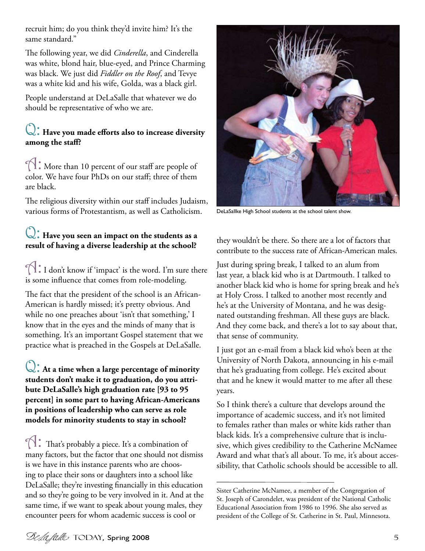recruit him; do you think they'd invite him? It's the same standard."

The following year, we did *Cinderella*, and Cinderella was white, blond hair, blue-eyed, and Prince Charming was black. We just did *Fiddler on the Roof*, and Tevye was a white kid and his wife, Golda, was a black girl.

People understand at DeLaSalle that whatever we do should be representative of who we are.

### Q: **Have you made efforts also to increase diversity among the staff?**

A: More than 10 percent of our staff are people of color. We have four PhDs on our staff; three of them are black.

The religious diversity within our staff includes Judaism, various forms of Protestantism, as well as Catholicism.

### Q: **Have you seen an impact on the students as a result of having a diverse leadership at the school?**

A: I don't know if 'impact' is the word. I'm sure there is some influence that comes from role-modeling.

The fact that the president of the school is an African-American is hardly missed; it's pretty obvious. And while no one preaches about 'isn't that something,' I know that in the eyes and the minds of many that is something. It's an important Gospel statement that we practice what is preached in the Gospels at DeLaSalle.

Q: **At a time when a large percentage of minority students don't make it to graduation, do you attribute DeLaSalle's high graduation rate [93 to 95 percent] in some part to having African-Americans in positions of leadership who can serve as role models for minority students to stay in school?**

 $\bigcap$ : That's probably a piece. It's a combination of many factors, but the factor that one should not dismiss is we have in this instance parents who are choosing to place their sons or daughters into a school like DeLaSalle; they're investing financially in this education and so they're going to be very involved in it. And at the same time, if we want to speak about young males, they encounter peers for whom academic success is cool or



DeLaSallke High School students at the school talent show.

they wouldn't be there. So there are a lot of factors that contribute to the success rate of African-American males.

Just during spring break, I talked to an alum from last year, a black kid who is at Dartmouth. I talked to another black kid who is home for spring break and he's at Holy Cross. I talked to another most recently and he's at the University of Montana, and he was designated outstanding freshman. All these guys are black. And they come back, and there's a lot to say about that, that sense of community.

I just got an e-mail from a black kid who's been at the University of North Dakota, announcing in his e-mail that he's graduating from college. He's excited about that and he knew it would matter to me after all these years.

So I think there's a culture that develops around the importance of academic success, and it's not limited to females rather than males or white kids rather than black kids. It's a comprehensive culture that is inclusive, which gives credibility to the Catherine McNamee Award and what that's all about. To me, it's about accessibility, that Catholic schools should be accessible to all.

Sister Catherine McNamee, a member of the Congregation of St. Joseph of Carondelet, was president of the National Catholic Educational Association from 1986 to 1996. She also served as president of the College of St. Catherine in St. Paul, Minnesota.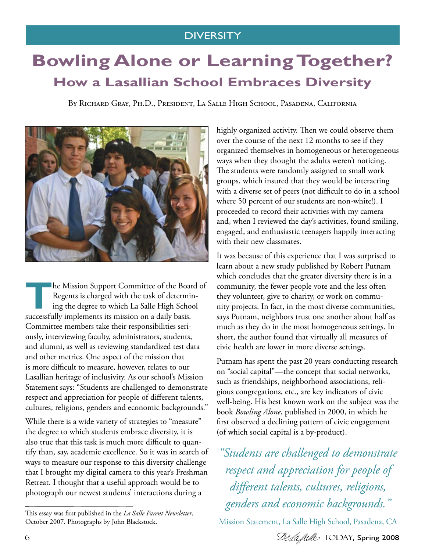#### **DIVERSITY**

## **Bowling Alone or Learning Together? How a Lasallian School Embraces Diversity**

By Richard Gray, Ph.D., President, La Salle High School, Pasadena, California



The Mission Support Committee of the Board of<br>Regents is charged with the task of determin-<br>ing the degree to which La Salle High School<br>successfully implements its mission on a daily basis. Regents is charged with the task of determining the degree to which La Salle High School successfully implements its mission on a daily basis. Committee members take their responsibilities seriously, interviewing faculty, administrators, students, and alumni, as well as reviewing standardized test data and other metrics. One aspect of the mission that is more difficult to measure, however, relates to our Lasallian heritage of inclusivity. As our school's Mission Statement says: "Students are challenged to demonstrate respect and appreciation for people of different talents, cultures, religions, genders and economic backgrounds."

While there is a wide variety of strategies to "measure" the degree to which students embrace diversity, it is also true that this task is much more difficult to quantify than, say, academic excellence. So it was in search of ways to measure our response to this diversity challenge that I brought my digital camera to this year's Freshman Retreat. I thought that a useful approach would be to photograph our newest students' interactions during a

This essay was first published in the *La Salle Parent Newsletter*, October 2007. Photographs by John Blackstock.

highly organized activity. Then we could observe them over the course of the next 12 months to see if they organized themselves in homogeneous or heterogeneous ways when they thought the adults weren't noticing. The students were randomly assigned to small work groups, which insured that they would be interacting with a diverse set of peers (not difficult to do in a school where 50 percent of our students are non-white!). I proceeded to record their activities with my camera and, when I reviewed the day's activities, found smiling, engaged, and enthusiastic teenagers happily interacting with their new classmates.

It was because of this experience that I was surprised to learn about a new study published by Robert Putnam which concludes that the greater diversity there is in a community, the fewer people vote and the less often they volunteer, give to charity, or work on community projects. In fact, in the most diverse communities, says Putnam, neighbors trust one another about half as much as they do in the most homogeneous settings. In short, the author found that virtually all measures of civic health are lower in more diverse settings.

Putnam has spent the past 20 years conducting research on "social capital"—the concept that social networks, such as friendships, neighborhood associations, religious congregations, etc., are key indicators of civic well-being. His best known work on the subject was the book *Bowling Alone*, published in 2000, in which he first observed a declining pattern of civic engagement (of which social capital is a by-product).

*"Students are challenged to demonstrate respect and appreciation for people of different talents, cultures, religions, genders and economic backgrounds."* Mission Statement, La Salle High School, Pasadena, CA

o Selafalle TODAY, Spring 2008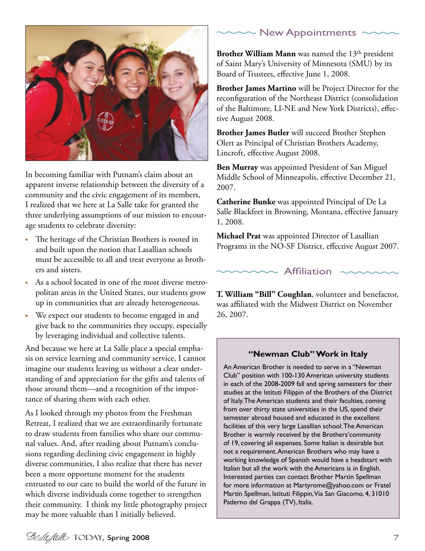

In becoming familiar with Putnam's claim about an apparent inverse relationship between the diversity of a community and the civic engagement of its members, I realized that we here at La Salle take for granted the three underlying assumptions of our mission to encourage students to celebrate diversity:

- The heritage of the Christian Brothers is rooted in and built upon the notion that Lasallian schools must be accessible to all and treat everyone as brothers and sisters.
- As a school located in one of the most diverse metro politan areas in the United States, our students grow up in communities that are already heterogeneous.
- We expect our students to become engaged in and give back to the communities they occupy, especially by leveraging individual and collective talents.

And because we here at La Salle place a special emphasis on service learning and community service, I cannot imagine our students leaving us without a clear understanding of and appreciation for the gifts and talents of those around them—and a recognition of the importance of sharing them with each other.

As I looked through my photos from the Freshman Retreat, I realized that we are extraordinarily fortunate to draw students from families who share our communal values. And, after reading about Putnam's conclusions regarding declining civic engagement in highly diverse communities, I also realize that there has never been a more opportune moment for the students entrusted to our care to build the world of the future in which diverse individuals come together to strengthen their community. I think my little photography project may be more valuable than I initially believed.

### New Appointments

Brother William Mann was named the 13<sup>th</sup> president of Saint Mary's University of Minnesota (SMU) by its Board of Trustees, effective June 1, 2008.

**Brother James Martino** will be Project Director for the reconfiguration of the Northeast District (consolidation of the Baltimore, LI-NE and New York Districts), effective August 2008.

**Brother James Butler** will succeed Brother Stephen Olert as Principal of Christian Brothers Academy, Lincroft, effective August 2008.

**Ben Murray** was appointed President of San Miguel Middle School of Minneapolis, effective December 21, 2007.

**Catherine Bunke** was appointed Principal of De La Salle Blackfeet in Browning, Montana, effective January 1, 2008.

**Michael Prat** was appointed Director of Lasallian Programs in the NO-SF District, effective August 2007.

Affiliation -

**T. William "Bill" Coughlan**, volunteer and benefactor, was affiliated with the Midwest District on November 26, 2007.

#### **"Newman Club" Work in Italy**

An American Brother is needed to serve in a "Newman Club" position with 100-130 American university students in each of the 2008-2009 fall and spring semesters for their studies at the Istituti Filippin of the Brothers of the District of Italy. The American students and their faculties, coming from over thirty state universities in the US, spend their semester abroad housed and educated in the excellent facilities of this very large Lasallian school. The American Brother is warmly received by the Brothers'community of 19, covering all expenses. Some Italian is desirable but not a requirement. American Brothers who may have a working knowledge of Spanish would have a headstart with Italian but all the work with the Americans is in English. Interested parties can contact Brother Martin Spellman for more information at Martyrome@yahoo.com or Fratel Martin Spellman, Istituti Filippin, Via San Giacomo, 4, 31010 Paderno del Grappa (TV), Italia.

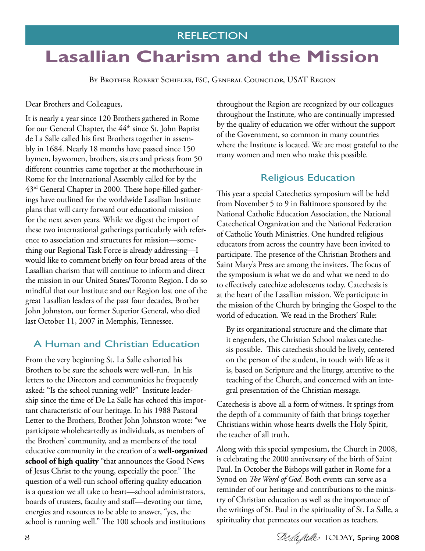## **Lasallian Charism and the Mission**

By Brother Robert Schieler, FSC, General Councilor, USAT Region

Dear Brothers and Colleagues,

It is nearly a year since 120 Brothers gathered in Rome for our General Chapter, the 44<sup>th</sup> since St. John Baptist de La Salle called his first Brothers together in assembly in 1684. Nearly 18 months have passed since 150 laymen, laywomen, brothers, sisters and priests from 50 different countries came together at the motherhouse in Rome for the International Assembly called for by the 43rd General Chapter in 2000. These hope-filled gatherings have outlined for the worldwide Lasallian Institute plans that will carry forward our educational mission for the next seven years. While we digest the import of these two international gatherings particularly with reference to association and structures for mission—something our Regional Task Force is already addressing—I would like to comment briefly on four broad areas of the Lasallian charism that will continue to inform and direct the mission in our United States/Toronto Region. I do so mindful that our Institute and our Region lost one of the great Lasallian leaders of the past four decades, Brother John Johnston, our former Superior General, who died last October 11, 2007 in Memphis, Tennessee.

### A Human and Christian Education

From the very beginning St. La Salle exhorted his Brothers to be sure the schools were well-run. In his letters to the Directors and communities he frequently asked: "Is the school running well?" Institute leadership since the time of De La Salle has echoed this important characteristic of our heritage. In his 1988 Pastoral Letter to the Brothers, Brother John Johnston wrote: "we participate wholeheartedly as individuals, as members of the Brothers' community, and as members of the total educative community in the creation of a **well-organized school of high quality** "that announces the Good News of Jesus Christ to the young, especially the poor." The question of a well-run school offering quality education is a question we all take to heart—school administrators, boards of trustees, faculty and staff—devoting our time, energies and resources to be able to answer, "yes, the school is running well." The 100 schools and institutions

throughout the Region are recognized by our colleagues throughout the Institute, who are continually impressed by the quality of education we offer without the support of the Government, so common in many countries where the Institute is located. We are most grateful to the many women and men who make this possible.

### Religious Education

This year a special Catechetics symposium will be held from November 5 to 9 in Baltimore sponsored by the National Catholic Education Association, the National Catechetical Organization and the National Federation of Catholic Youth Ministries. One hundred religious educators from across the country have been invited to participate. The presence of the Christian Brothers and Saint Mary's Press are among the invitees. The focus of the symposium is what we do and what we need to do to effectively catechize adolescents today. Catechesis is at the heart of the Lasallian mission. We participate in the mission of the Church by bringing the Gospel to the world of education. We read in the Brothers' Rule:

By its organizational structure and the climate that it engenders, the Christian School makes catechesis possible. This catechesis should be lively, centered on the person of the student, in touch with life as it is, based on Scripture and the liturgy, attentive to the teaching of the Church, and concerned with an integral presentation of the Christian message.

Catechesis is above all a form of witness. It springs from the depth of a community of faith that brings together Christians within whose hearts dwells the Holy Spirit, the teacher of all truth.

Along with this special symposium, the Church in 2008, is celebrating the 2000 anniversary of the birth of Saint Paul. In October the Bishops will gather in Rome for a Synod on *The Word of God*. Both events can serve as a reminder of our heritage and contributions to the ministry of Christian education as well as the importance of the writings of St. Paul in the spirituality of St. La Salle, a spirituality that permeates our vocation as teachers.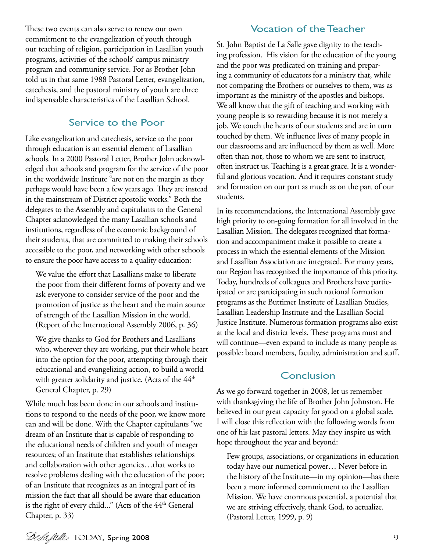These two events can also serve to renew our own commitment to the evangelization of youth through our teaching of religion, participation in Lasallian youth programs, activities of the schools' campus ministry program and community service. For as Brother John told us in that same 1988 Pastoral Letter, evangelization, catechesis, and the pastoral ministry of youth are three indispensable characteristics of the Lasallian School.

#### Service to the Poor

Like evangelization and catechesis, service to the poor through education is an essential element of Lasallian schools. In a 2000 Pastoral Letter, Brother John acknowledged that schools and program for the service of the poor in the worldwide Institute "are not on the margin as they perhaps would have been a few years ago. They are instead in the mainstream of District apostolic works." Both the delegates to the Assembly and capitulants to the General Chapter acknowledged the many Lasallian schools and institutions, regardless of the economic background of their students, that are committed to making their schools accessible to the poor, and networking with other schools to ensure the poor have access to a quality education:

We value the effort that Lasallians make to liberate the poor from their different forms of poverty and we ask everyone to consider service of the poor and the promotion of justice as the heart and the main source of strength of the Lasallian Mission in the world. (Report of the International Assembly 2006, p. 36)

We give thanks to God for Brothers and Lasallians who, wherever they are working, put their whole heart into the option for the poor, attempting through their educational and evangelizing action, to build a world with greater solidarity and justice. (Acts of the 44<sup>th</sup> General Chapter, p. 29)

While much has been done in our schools and institutions to respond to the needs of the poor, we know more can and will be done. With the Chapter capitulants "we dream of an Institute that is capable of responding to the educational needs of children and youth of meager resources; of an Institute that establishes relationships and collaboration with other agencies…that works to resolve problems dealing with the education of the poor; of an Institute that recognizes as an integral part of its mission the fact that all should be aware that education is the right of every child..." (Acts of the 44<sup>th</sup> General Chapter, p. 33)

#### Vocation of the Teacher

St. John Baptist de La Salle gave dignity to the teaching profession. His vision for the education of the young and the poor was predicated on training and preparing a community of educators for a ministry that, while not comparing the Brothers or ourselves to them, was as important as the ministry of the apostles and bishops. We all know that the gift of teaching and working with young people is so rewarding because it is not merely a job. We touch the hearts of our students and are in turn touched by them. We influence lives of many people in our classrooms and are influenced by them as well. More often than not, those to whom we are sent to instruct, often instruct us. Teaching is a great grace. It is a wonderful and glorious vocation. And it requires constant study and formation on our part as much as on the part of our students.

In its recommendations, the International Assembly gave high priority to on-going formation for all involved in the Lasallian Mission. The delegates recognized that formation and accompaniment make it possible to create a process in which the essential elements of the Mission and Lasallian Association are integrated. For many years, our Region has recognized the importance of this priority. Today, hundreds of colleagues and Brothers have participated or are participating in such national formation programs as the Buttimer Institute of Lasallian Studies, Lasallian Leadership Institute and the Lasallian Social Justice Institute. Numerous formation programs also exist at the local and district levels. These programs must and will continue—even expand to include as many people as possible: board members, faculty, administration and staff.

#### **Conclusion**

As we go forward together in 2008, let us remember with thanksgiving the life of Brother John Johnston. He believed in our great capacity for good on a global scale. I will close this reflection with the following words from one of his last pastoral letters. May they inspire us with hope throughout the year and beyond:

Few groups, associations, or organizations in education today have our numerical power… Never before in the history of the Institute—in my opinion—has there been a more informed commitment to the Lasallian Mission. We have enormous potential, a potential that we are striving effectively, thank God, to actualize. (Pastoral Letter, 1999, p. 9)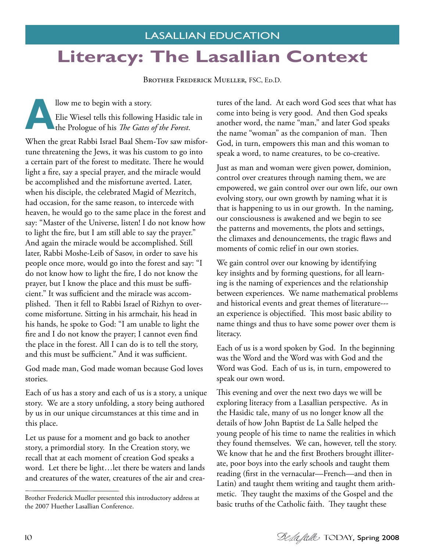#### Lasallian Education

## **Literacy: The Lasallian Context**

BROTHER FREDERICK MUELLER, FSC, ED.D.

**Allow me to begin with a story.<br>Elie Wiesel tells this following<br>the Prologue of his** *The Gates* Elie Wiesel tells this following Hasidic tale in the Prologue of his *The Gates of the Forest*.

When the great Rabbi Israel Baal Shem-Tov saw misfortune threatening the Jews, it was his custom to go into a certain part of the forest to meditate. There he would light a fire, say a special prayer, and the miracle would be accomplished and the misfortune averted. Later, when his disciple, the celebrated Magid of Mezritch, had occasion, for the same reason, to intercede with heaven, he would go to the same place in the forest and say: "Master of the Universe, listen! I do not know how to light the fire, but I am still able to say the prayer." And again the miracle would be accomplished. Still later, Rabbi Moshe-Leib of Sasov, in order to save his people once more, would go into the forest and say: "I do not know how to light the fire, I do not know the prayer, but I know the place and this must be sufficient." It was sufficient and the miracle was accomplished. Then it fell to Rabbi Israel of Rizhyn to overcome misfortune. Sitting in his armchair, his head in his hands, he spoke to God: "I am unable to light the fire and I do not know the prayer; I cannot even find the place in the forest. All I can do is to tell the story, and this must be sufficient." And it was sufficient.

God made man, God made woman because God loves stories.

Each of us has a story and each of us is a story, a unique story. We are a story unfolding, a story being authored by us in our unique circumstances at this time and in this place.

Let us pause for a moment and go back to another story, a primordial story. In the Creation story, we recall that at each moment of creation God speaks a word. Let there be light…let there be waters and lands and creatures of the water, creatures of the air and creatures of the land. At each word God sees that what has come into being is very good. And then God speaks another word, the name "man," and later God speaks the name "woman" as the companion of man. Then God, in turn, empowers this man and this woman to speak a word, to name creatures, to be co-creative.

Just as man and woman were given power, dominion, control over creatures through naming them, we are empowered, we gain control over our own life, our own evolving story, our own growth by naming what it is that is happening to us in our growth. In the naming, our consciousness is awakened and we begin to see the patterns and movements, the plots and settings, the climaxes and denouncements, the tragic flaws and moments of comic relief in our own stories.

We gain control over our knowing by identifying key insights and by forming questions, for all learning is the naming of experiences and the relationship between experiences. We name mathematical problems and historical events and great themes of literature-- an experience is objectified. This most basic ability to name things and thus to have some power over them is literacy.

Each of us is a word spoken by God. In the beginning was the Word and the Word was with God and the Word was God. Each of us is, in turn, empowered to speak our own word.

This evening and over the next two days we will be exploring literacy from a Lasallian perspective. As in the Hasidic tale, many of us no longer know all the details of how John Baptist de La Salle helped the young people of his time to name the realities in which they found themselves. We can, however, tell the story. We know that he and the first Brothers brought illiterate, poor boys into the early schools and taught them reading (first in the vernacular—French—and then in Latin) and taught them writing and taught them arithmetic. They taught the maxims of the Gospel and the Brother Frederick Mueller presented this introductory address at health in the Catholic faith. They taught these basic truths of the Catholic faith. They taught these

the 2007 Huether Lasallian Conference.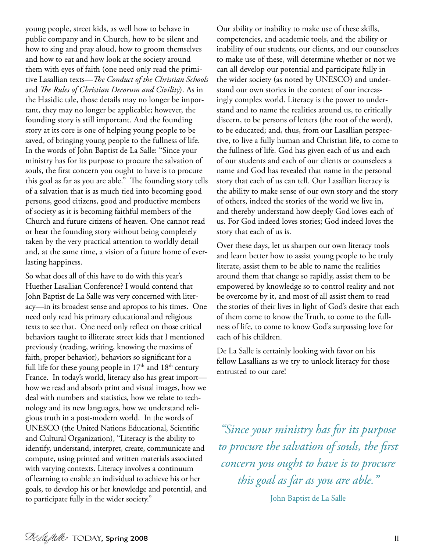young people, street kids, as well how to behave in public company and in Church, how to be silent and how to sing and pray aloud, how to groom themselves and how to eat and how look at the society around them with eyes of faith (one need only read the primitive Lasallian texts—*The Conduct of the Christian Schools* and *The Rules of Christian Decorum and Civility*). As in the Hasidic tale, those details may no longer be important, they may no longer be applicable; however, the founding story is still important. And the founding story at its core is one of helping young people to be saved, of bringing young people to the fullness of life. In the words of John Baptist de La Salle: "Since your ministry has for its purpose to procure the salvation of souls, the first concern you ought to have is to procure this goal as far as you are able." The founding story tells of a salvation that is as much tied into becoming good persons, good citizens, good and productive members of society as it is becoming faithful members of the Church and future citizens of heaven. One cannot read or hear the founding story without being completely taken by the very practical attention to worldly detail and, at the same time, a vision of a future home of everlasting happiness.

So what does all of this have to do with this year's Huether Lasallian Conference? I would contend that John Baptist de La Salle was very concerned with literacy—in its broadest sense and apropos to his times. One need only read his primary educational and religious texts to see that. One need only reflect on those critical behaviors taught to illiterate street kids that I mentioned previously (reading, writing, knowing the maxims of faith, proper behavior), behaviors so significant for a full life for these young people in  $17<sup>th</sup>$  and  $18<sup>th</sup>$  century France. In today's world, literacy also has great import how we read and absorb print and visual images, how we deal with numbers and statistics, how we relate to technology and its new languages, how we understand religious truth in a post-modern world. In the words of UNESCO (the United Nations Educational, Scientific and Cultural Organization), "Literacy is the ability to identify, understand, interpret, create, communicate and compute, using printed and written materials associated with varying contexts. Literacy involves a continuum of learning to enable an individual to achieve his or her goals, to develop his or her knowledge and potential, and to participate fully in the wider society."

Our ability or inability to make use of these skills, competencies, and academic tools, and the ability or inability of our students, our clients, and our counselees to make use of these, will determine whether or not we can all develop our potential and participate fully in the wider society (as noted by UNESCO) and understand our own stories in the context of our increasingly complex world. Literacy is the power to understand and to name the realities around us, to critically discern, to be persons of letters (the root of the word), to be educated; and, thus, from our Lasallian perspective, to live a fully human and Christian life, to come to the fullness of life. God has given each of us and each of our students and each of our clients or counselees a name and God has revealed that name in the personal story that each of us can tell. Our Lasallian literacy is the ability to make sense of our own story and the story of others, indeed the stories of the world we live in, and thereby understand how deeply God loves each of us. For God indeed loves stories; God indeed loves the story that each of us is.

Over these days, let us sharpen our own literacy tools and learn better how to assist young people to be truly literate, assist them to be able to name the realities around them that change so rapidly, assist them to be empowered by knowledge so to control reality and not be overcome by it, and most of all assist them to read the stories of their lives in light of God's desire that each of them come to know the Truth, to come to the fullness of life, to come to know God's surpassing love for each of his children.

De La Salle is certainly looking with favor on his fellow Lasallians as we try to unlock literacy for those entrusted to our care!

*"Since your ministry has for its purpose to procure the salvation of souls, the first concern you ought to have is to procure this goal as far as you are able."*

John Baptist de La Salle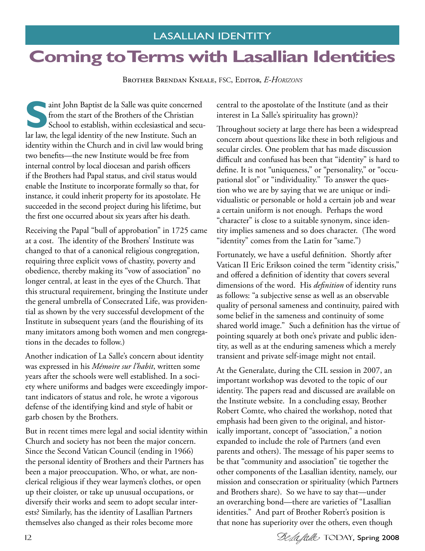## **Coming to Terms with Lasallian Identities**

Brother Brendan Kneale, FSC, Editor, *E-Horizons*

Saint John Baptist de la Salle was quite concerned<br>
from the start of the Brothers of the Christian<br>
School to establish, within ecclesiastical and secular<br>
law. the legal identity of the new Institute. Such an from the start of the Brothers of the Christian School to establish, within ecclesiastical and secular law, the legal identity of the new Institute. Such an identity within the Church and in civil law would bring two benefits—the new Institute would be free from internal control by local diocesan and parish officers if the Brothers had Papal status, and civil status would enable the Institute to incorporate formally so that, for instance, it could inherit property for its apostolate. He succeeded in the second project during his lifetime, but the first one occurred about six years after his death.

Receiving the Papal "bull of approbation" in 1725 came at a cost. The identity of the Brothers' Institute was changed to that of a canonical religious congregation, requiring three explicit vows of chastity, poverty and obedience, thereby making its "vow of association" no longer central, at least in the eyes of the Church. That this structural requirement, bringing the Institute under the general umbrella of Consecrated Life, was providential as shown by the very successful development of the Institute in subsequent years (and the flourishing of its many imitators among both women and men congregations in the decades to follow.)

Another indication of La Salle's concern about identity was expressed in his *Mémoire sur l'habit*, written some years after the schools were well established. In a society where uniforms and badges were exceedingly important indicators of status and role, he wrote a vigorous defense of the identifying kind and style of habit or garb chosen by the Brothers.

But in recent times mere legal and social identity within Church and society has not been the major concern. Since the Second Vatican Council (ending in 1966) the personal identity of Brothers and their Partners has been a major preoccupation. Who, or what, are nonclerical religious if they wear laymen's clothes, or open up their cloister, or take up unusual occupations, or diversify their works and seem to adopt secular interests? Similarly, has the identity of Lasallian Partners themselves also changed as their roles become more

central to the apostolate of the Institute (and as their interest in La Salle's spirituality has grown)?

Throughout society at large there has been a widespread concern about questions like these in both religious and secular circles. One problem that has made discussion difficult and confused has been that "identity" is hard to define. It is not "uniqueness," or "personality," or "occupational slot" or "individuality." To answer the question who we are by saying that we are unique or individualistic or personable or hold a certain job and wear a certain uniform is not enough. Perhaps the word "character" is close to a suitable synonym, since identity implies sameness and so does character. (The word "identity" comes from the Latin for "same.")

Fortunately, we have a useful definition. Shortly after Vatican II Eric Erikson coined the term "identity crisis," and offered a definition of identity that covers several dimensions of the word. His *definition* of identity runs as follows: "a subjective sense as well as an observable quality of personal sameness and continuity, paired with some belief in the sameness and continuity of some shared world image." Such a definition has the virtue of pointing squarely at both one's private and public identity, as well as at the enduring sameness which a merely transient and private self-image might not entail.

At the Generalate, during the CIL session in 2007, an important workshop was devoted to the topic of our identity. The papers read and discussed are available on the Institute website. In a concluding essay, Brother Robert Comte, who chaired the workshop, noted that emphasis had been given to the original, and historically important, concept of "association," a notion expanded to include the role of Partners (and even parents and others). The message of his paper seems to be that "community and association" tie together the other components of the Lasallian identity, namely, our mission and consecration or spirituality (which Partners and Brothers share). So we have to say that—under an overarching bond—there are varieties of "Lasallian identities." And part of Brother Robert's position is that none has superiority over the others, even though

12 TODAY, Spring 2008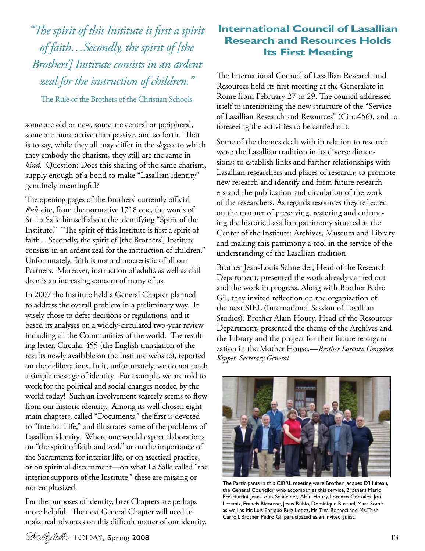*"The spirit of this Institute is first a spirit of faith…Secondly, the spirit of [the Brothers'] Institute consists in an ardent zeal for the instruction of children."*

The Rule of the Brothers of the Christian Schools

some are old or new, some are central or peripheral, some are more active than passive, and so forth. That is to say, while they all may differ in the *degree* to which they embody the charism, they still are the same in *kind*. Question: Does this sharing of the same charism, supply enough of a bond to make "Lasallian identity" genuinely meaningful?

The opening pages of the Brothers' currently official *Rule* cite, from the normative 1718 one, the words of St. La Salle himself about the identifying "Spirit of the Institute." "The spirit of this Institute is first a spirit of faith…Secondly, the spirit of [the Brothers'] Institute consists in an ardent zeal for the instruction of children." Unfortunately, faith is not a characteristic of all our Partners. Moreover, instruction of adults as well as children is an increasing concern of many of us.

In 2007 the Institute held a General Chapter planned to address the overall problem in a preliminary way. It wisely chose to defer decisions or regulations, and it based its analyses on a widely-circulated two-year review including all the Communities of the world. The resulting letter, Circular 455 (the English translation of the results newly available on the Institute website), reported on the deliberations. In it, unfortunately, we do not catch a simple message of identity. For example, we are told to work for the political and social changes needed by the world today! Such an involvement scarcely seems to flow from our historic identity. Among its well-chosen eight main chapters, called "Documents," the first is devoted to "Interior Life," and illustrates some of the problems of Lasallian identity. Where one would expect elaborations on "the spirit of faith and zeal," or on the importance of the Sacraments for interior life, or on ascetical practice, or on spiritual discernment—on what La Salle called "the interior supports of the Institute," these are missing or not emphasized.

For the purposes of identity, later Chapters are perhaps more helpful. The next General Chapter will need to make real advances on this difficult matter of our identity.

## **International Council of Lasallian Research and Resources Holds Its First Meeting**

The International Council of Lasallian Research and Resources held its first meeting at the Generalate in Rome from February 27 to 29. The council addressed itself to interiorizing the new structure of the "Service of Lasallian Research and Resources" (Circ.456), and to foreseeing the activities to be carried out.

Some of the themes dealt with in relation to research were: the Lasallian tradition in its diverse dimensions; to establish links and further relationships with Lasallian researchers and places of research; to promote new research and identify and form future researchers and the publication and circulation of the work of the researchers. As regards resources they reflected on the manner of preserving, restoring and enhancing the historic Lasallian patrimony situated at the Center of the Institute: Archives, Museum and Library and making this patrimony a tool in the service of the understanding of the Lasallian tradition.

Brother Jean-Louis Schneider, Head of the Research Department, presented the work already carried out and the work in progress. Along with Brother Pedro Gil, they invited reflection on the organization of the next SIEL (International Session of Lasallian Studies). Brother Alain Houry, Head of the Resources Department, presented the theme of the Archives and the Library and the project for their future re-organization in the Mother House.—*Brother Lorenzo González Kipper, Secretary General*



The Participants in this CIRRL meeting were Brother Jacques D'Huiteau, the General Councilor who accompanies this service, Brothers Mario Presciuttini, Jean-Louis Schneider, Alain Houry, Lorenzo Gonzalez, Jon Lezamiz, Francis Ricousse, Jesus Rubio, Dominique Rustuel, Marc Somé as well as Mr. Luis Enrique Ruiz Lopez, Ms. Tina Bonacci and Ms. Trish Carroll. Brother Pedro Gil participated as an invited guest.

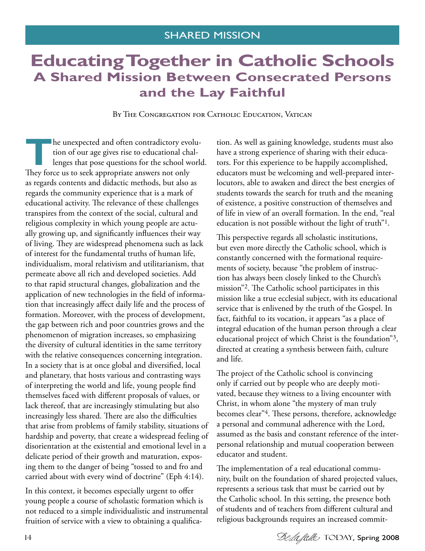## **Educating Together in Catholic Schools A Shared Mission Between Consecrated Persons and the Lay Faithful**

By The Congregation for Catholic Education, Vatican

The unexpected and often contradictory evolution of our age gives rise to educational challenges that pose questions for the school work.<br>They force us to seek appropriate answers not only tion of our age gives rise to educational challenges that pose questions for the school world. They force us to seek appropriate answers not only as regards contents and didactic methods, but also as regards the community experience that is a mark of educational activity. The relevance of these challenges transpires from the context of the social, cultural and religious complexity in which young people are actually growing up, and significantly influences their way of living. They are widespread phenomena such as lack of interest for the fundamental truths of human life, individualism, moral relativism and utilitarianism, that permeate above all rich and developed societies. Add to that rapid structural changes, globalization and the application of new technologies in the field of information that increasingly affect daily life and the process of formation. Moreover, with the process of development, the gap between rich and poor countries grows and the phenomenon of migration increases, so emphasizing the diversity of cultural identities in the same territory with the relative consequences concerning integration. In a society that is at once global and diversified, local and planetary, that hosts various and contrasting ways of interpreting the world and life, young people find themselves faced with different proposals of values, or lack thereof, that are increasingly stimulating but also increasingly less shared. There are also the difficulties that arise from problems of family stability, situations of hardship and poverty, that create a widespread feeling of disorientation at the existential and emotional level in a delicate period of their growth and maturation, exposing them to the danger of being "tossed to and fro and carried about with every wind of doctrine" (Eph 4:14).

In this context, it becomes especially urgent to offer young people a course of scholastic formation which is not reduced to a simple individualistic and instrumental fruition of service with a view to obtaining a qualification. As well as gaining knowledge, students must also have a strong experience of sharing with their educators. For this experience to be happily accomplished, educators must be welcoming and well-prepared interlocutors, able to awaken and direct the best energies of students towards the search for truth and the meaning of existence, a positive construction of themselves and of life in view of an overall formation. In the end, "real education is not possible without the light of truth"1.

This perspective regards all scholastic institutions, but even more directly the Catholic school, which is constantly concerned with the formational requirements of society, because "the problem of instruction has always been closely linked to the Church's mission"2. The Catholic school participates in this mission like a true ecclesial subject, with its educational service that is enlivened by the truth of the Gospel. In fact, faithful to its vocation, it appears "as a place of integral education of the human person through a clear educational project of which Christ is the foundation"3, directed at creating a synthesis between faith, culture and life.

The project of the Catholic school is convincing only if carried out by people who are deeply motivated, because they witness to a living encounter with Christ, in whom alone "the mystery of man truly becomes clear"4. These persons, therefore, acknowledge a personal and communal adherence with the Lord, assumed as the basis and constant reference of the interpersonal relationship and mutual cooperation between educator and student.

The implementation of a real educational community, built on the foundation of shared projected values, represents a serious task that must be carried out by the Catholic school. In this setting, the presence both of students and of teachers from different cultural and religious backgrounds requires an increased commit-

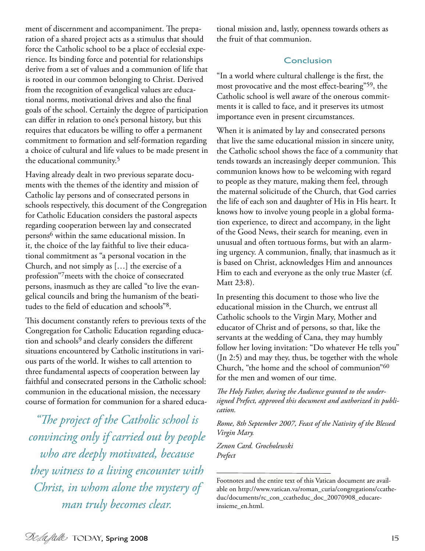ment of discernment and accompaniment. The preparation of a shared project acts as a stimulus that should force the Catholic school to be a place of ecclesial experience. Its binding force and potential for relationships derive from a set of values and a communion of life that is rooted in our common belonging to Christ. Derived from the recognition of evangelical values are educational norms, motivational drives and also the final goals of the school. Certainly the degree of participation can differ in relation to one's personal history, but this requires that educators be willing to offer a permanent commitment to formation and self-formation regarding a choice of cultural and life values to be made present in the educational community.5

Having already dealt in two previous separate documents with the themes of the identity and mission of Catholic lay persons and of consecrated persons in schools respectively, this document of the Congregation for Catholic Education considers the pastoral aspects regarding cooperation between lay and consecrated persons6 within the same educational mission. In it, the choice of the lay faithful to live their educational commitment as "a personal vocation in the Church, and not simply as […] the exercise of a profession"7meets with the choice of consecrated persons, inasmuch as they are called "to live the evangelical councils and bring the humanism of the beatitudes to the field of education and schools"8.

This document constantly refers to previous texts of the Congregation for Catholic Education regarding education and schools<sup>9</sup> and clearly considers the different situations encountered by Catholic institutions in various parts of the world. It wishes to call attention to three fundamental aspects of cooperation between lay faithful and consecrated persons in the Catholic school: communion in the educational mission, the necessary course of formation for communion for a shared educa-

*"The project of the Catholic school is convincing only if carried out by people who are deeply motivated, because they witness to a living encounter with Christ, in whom alone the mystery of man truly becomes clear.*

tional mission and, lastly, openness towards others as the fruit of that communion.

#### **Conclusion**

"In a world where cultural challenge is the first, the most provocative and the most effect-bearing"59, the Catholic school is well aware of the onerous commitments it is called to face, and it preserves its utmost importance even in present circumstances.

When it is animated by lay and consecrated persons that live the same educational mission in sincere unity, the Catholic school shows the face of a community that tends towards an increasingly deeper communion. This communion knows how to be welcoming with regard to people as they mature, making them feel, through the maternal solicitude of the Church, that God carries the life of each son and daughter of His in His heart. It knows how to involve young people in a global formation experience, to direct and accompany, in the light of the Good News, their search for meaning, even in unusual and often tortuous forms, but with an alarming urgency. A communion, finally, that inasmuch as it is based on Christ, acknowledges Him and announces Him to each and everyone as the only true Master (cf. Matt 23:8).

In presenting this document to those who live the educational mission in the Church, we entrust all Catholic schools to the Virgin Mary, Mother and educator of Christ and of persons, so that, like the servants at the wedding of Cana, they may humbly follow her loving invitation: "Do whatever He tells you" (Jn 2:5) and may they, thus, be together with the whole Church, "the home and the school of communion"60 for the men and women of our time.

*The Holy Father, during the Audience granted to the undersigned Prefect, approved this document and authorized its publication.*

*Rome, 8th September 2007, Feast of the Nativity of the Blessed Virgin Mary.*

*Zenon Card. Grocholewski Prefect*

Footnotes and the entire text of this Vatican document are available on http://www.vatican.va/roman\_curia/congregations/ccatheduc/documents/rc\_con\_ccatheduc\_doc\_20070908\_educareinsieme\_en.html.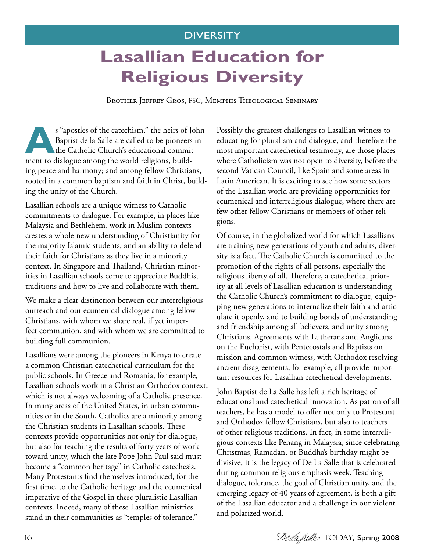#### **DIVERSITY**

## **Lasallian Education for Religious Diversity**

BROTHER JEFFREY GROS, FSC, MEMPHIS THEOLOGICAL SEMINARY

s "apostles of the catechism," the heirs of John<br>Baptist de la Salle are called to be pioneers in<br>the Catholic Church's educational commit-<br>ment to dialogue among the world religions, build-Baptist de la Salle are called to be pioneers in the Catholic Church's educational commitment to dialogue among the world religions, building peace and harmony; and among fellow Christians, rooted in a common baptism and faith in Christ, building the unity of the Church.

Lasallian schools are a unique witness to Catholic commitments to dialogue. For example, in places like Malaysia and Bethlehem, work in Muslim contexts creates a whole new understanding of Christianity for the majority Islamic students, and an ability to defend their faith for Christians as they live in a minority context. In Singapore and Thailand, Christian minorities in Lasallian schools come to appreciate Buddhist traditions and how to live and collaborate with them.

We make a clear distinction between our interreligious outreach and our ecumenical dialogue among fellow Christians, with whom we share real, if yet imperfect communion, and with whom we are committed to building full communion.

Lasallians were among the pioneers in Kenya to create a common Christian catechetical curriculum for the public schools. In Greece and Romania, for example, Lasallian schools work in a Christian Orthodox context, which is not always welcoming of a Catholic presence. In many areas of the United States, in urban communities or in the South, Catholics are a minority among the Christian students in Lasallian schools. These contexts provide opportunities not only for dialogue, but also for teaching the results of forty years of work toward unity, which the late Pope John Paul said must become a "common heritage" in Catholic catechesis. Many Protestants find themselves introduced, for the first time, to the Catholic heritage and the ecumenical imperative of the Gospel in these pluralistic Lasallian contexts. Indeed, many of these Lasallian ministries stand in their communities as "temples of tolerance."

Possibly the greatest challenges to Lasallian witness to educating for pluralism and dialogue, and therefore the most important catechetical testimony, are those places where Catholicism was not open to diversity, before the second Vatican Council, like Spain and some areas in Latin American. It is exciting to see how some sectors of the Lasallian world are providing opportunities for ecumenical and interreligious dialogue, where there are few other fellow Christians or members of other religions.

Of course, in the globalized world for which Lasallians are training new generations of youth and adults, diversity is a fact. The Catholic Church is committed to the promotion of the rights of all persons, especially the religious liberty of all. Therefore, a catechetical priority at all levels of Lasallian education is understanding the Catholic Church's commitment to dialogue, equipping new generations to internalize their faith and articulate it openly, and to building bonds of understanding and friendship among all believers, and unity among Christians. Agreements with Lutherans and Anglicans on the Eucharist, with Pentecostals and Baptists on mission and common witness, with Orthodox resolving ancient disagreements, for example, all provide important resources for Lasallian catechetical developments.

John Baptist de La Salle has left a rich heritage of educational and catechetical innovation. As patron of all teachers, he has a model to offer not only to Protestant and Orthodox fellow Christians, but also to teachers of other religious traditions. In fact, in some interreligious contexts like Penang in Malaysia, since celebrating Christmas, Ramadan, or Buddha's birthday might be divisive, it is the legacy of De La Salle that is celebrated during common religious emphasis week. Teaching dialogue, tolerance, the goal of Christian unity, and the emerging legacy of 40 years of agreement, is both a gift of the Lasallian educator and a challenge in our violent and polarized world.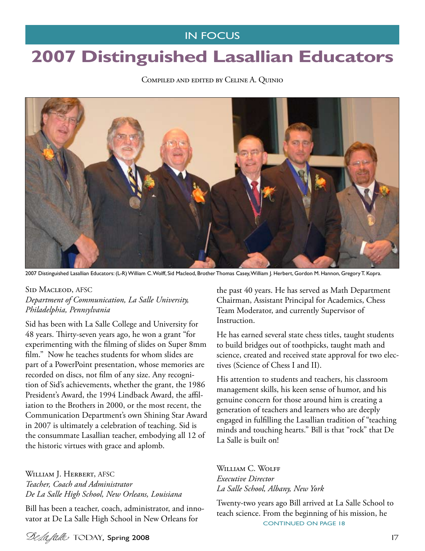## in focus

## **2007 Distinguished Lasallian Educators**

Compiled and edited by Celine A. Quinio



2007 Distinguished Lasallian Educators: (L-R) William C. Wolff, Sid Macleod, Brother Thomas Casey, William J. Herbert, Gordon M. Hannon, Gregory T. Kopra.

#### SID MACLEOD, AFSC

*Department of Communication, La Salle University, Philadelphia, Pennsylvania*

Sid has been with La Salle College and University for 48 years. Thirty-seven years ago, he won a grant "for experimenting with the filming of slides on Super 8mm film." Now he teaches students for whom slides are part of a PowerPoint presentation, whose memories are recorded on discs, not film of any size. Any recognition of Sid's achievements, whether the grant, the 1986 President's Award, the 1994 Lindback Award, the affiliation to the Brothers in 2000, or the most recent, the Communication Department's own Shining Star Award in 2007 is ultimately a celebration of teaching. Sid is the consummate Lasallian teacher, embodying all 12 of the historic virtues with grace and aplomb.

WILLIAM I. HERBERT, AFSC *Teacher, Coach and Administrator De La Salle High School, New Orleans, Louisiana*

Bill has been a teacher, coach, administrator, and innovator at De La Salle High School in New Orleans for

the past 40 years. He has served as Math Department Chairman, Assistant Principal for Academics, Chess Team Moderator, and currently Supervisor of Instruction.

He has earned several state chess titles, taught students to build bridges out of toothpicks, taught math and science, created and received state approval for two electives (Science of Chess I and II).

His attention to students and teachers, his classroom management skills, his keen sense of humor, and his genuine concern for those around him is creating a generation of teachers and learners who are deeply engaged in fulfilling the Lasallian tradition of "teaching minds and touching hearts." Bill is that "rock" that De La Salle is built on!

WILLIAM C. WOLFF *Executive Director La Salle School, Albany, New York*

continued on page 18 Twenty-two years ago Bill arrived at La Salle School to teach science. From the beginning of his mission, he

 $\mathcal{D}\ell\mathcal{A}$ *lafalle*, TODAY, Spring 2008 17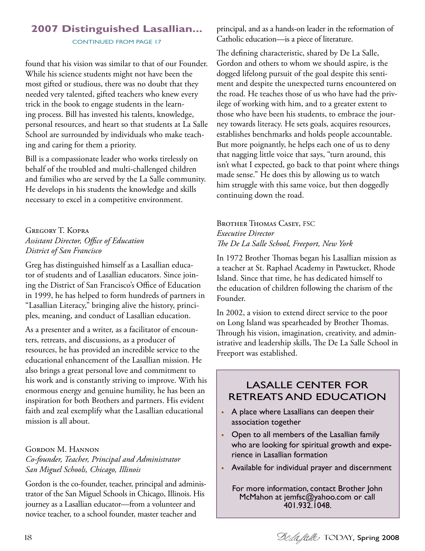## **2007 Distinguished Lasallian...**

continued from page 17

found that his vision was similar to that of our Founder. While his science students might not have been the most gifted or studious, there was no doubt that they needed very talented, gifted teachers who knew every trick in the book to engage students in the learning process. Bill has invested his talents, knowledge, personal resources, and heart so that students at La Salle School are surrounded by individuals who make teaching and caring for them a priority.

Bill is a compassionate leader who works tirelessly on behalf of the troubled and multi-challenged children and families who are served by the La Salle community. He develops in his students the knowledge and skills necessary to excel in a competitive environment.

#### Gregory T. Kopra *Assistant Director, Office of Education District of San Francisco*

Greg has distinguished himself as a Lasallian educator of students and of Lasallian educators. Since joining the District of San Francisco's Office of Education in 1999, he has helped to form hundreds of partners in "Lasallian Literacy," bringing alive the history, principles, meaning, and conduct of Lasallian education.

As a presenter and a writer, as a facilitator of encounters, retreats, and discussions, as a producer of resources, he has provided an incredible service to the educational enhancement of the Lasallian mission. He also brings a great personal love and commitment to his work and is constantly striving to improve. With his enormous energy and genuine humility, he has been an inspiration for both Brothers and partners. His evident faith and zeal exemplify what the Lasallian educational mission is all about.

#### GORDON M. HANNON

#### *Co-founder, Teacher, Principal and Administrator San Miguel Schools, Chicago, Illinois*

Gordon is the co-founder, teacher, principal and administrator of the San Miguel Schools in Chicago, Illinois. His journey as a Lasallian educator—from a volunteer and novice teacher, to a school founder, master teacher and

principal, and as a hands-on leader in the reformation of Catholic education—is a piece of literature.

The defining characteristic, shared by De La Salle, Gordon and others to whom we should aspire, is the dogged lifelong pursuit of the goal despite this sentiment and despite the unexpected turns encountered on the road. He teaches those of us who have had the privilege of working with him, and to a greater extent to those who have been his students, to embrace the journey towards literacy. He sets goals, acquires resources, establishes benchmarks and holds people accountable. But more poignantly, he helps each one of us to deny that nagging little voice that says, "turn around, this isn't what I expected, go back to that point where things made sense." He does this by allowing us to watch him struggle with this same voice, but then doggedly continuing down the road.

Brother Thomas Casey, FSC *Executive Director The De La Salle School, Freeport, New York*

In 1972 Brother Thomas began his Lasallian mission as a teacher at St. Raphael Academy in Pawtucket, Rhode Island. Since that time, he has dedicated himself to the education of children following the charism of the Founder.

In 2002, a vision to extend direct service to the poor on Long Island was spearheaded by Brother Thomas. Through his vision, imagination, creativity, and administrative and leadership skills, The De La Salle School in Freeport was established.

## LaSalle Center for Retreats and Education

- A place where Lasallians can deepen their association together
- Open to all members of the Lasallian family who are looking for spiritual growth and experience in Lasallian formation
- Available for individual prayer and discernment

For more information, contact Brother John McMahon at jemfsc@yahoo.com or call 401.932.1048.

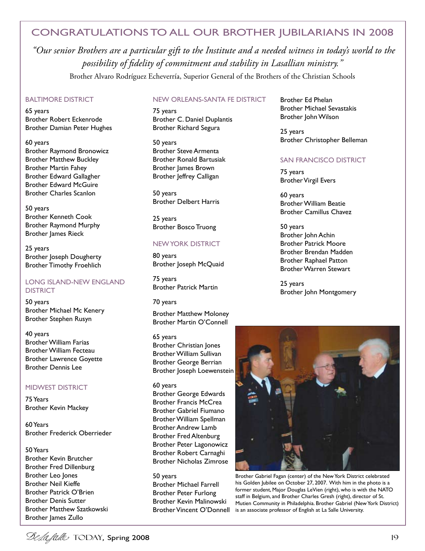### congratulations to all our Brother Jubilarians in 2008

 *"Our senior Brothers are a particular gift to the Institute and a needed witness in today's world to the possibility of fidelity of commitment and stability in Lasallian ministry."*

Brother Alvaro Rodríguez Echeverría, Superior General of the Brothers of the Christian Schools

#### Baltimore District

65 years Brother Robert Eckenrode Brother Damian Peter Hughes

60 years Brother Raymond Bronowicz Brother Matthew Buckley Brother Martin Fahey Brother Edward Gallagher Brother Edward McGuire Brother Charles Scanlon

50 years Brother Kenneth Cook Brother Raymond Murphy Brother James Rieck

25 years Brother Joseph Dougherty Brother Timothy Froehlich

#### Long Island-New England **DISTRICT**

50 years Brother Michael Mc Kenery Brother Stephen Rusyn

40 years Brother William Farias Brother William Fecteau Brother Lawrence Goyette Brother Dennis Lee

#### Midwest District

75 Years Brother Kevin Mackey

60 Years Brother Frederick Oberrieder

50 Years Brother Kevin Brutcher Brother Fred Dillenburg Brother Leo Jones Brother Neil Kieffe Brother Patrick O'Brien Brother Denis Sutter Brother Matthew Szatkowski Brother James Zullo

#### New Orleans-Santa Fe District

75 years Brother C. Daniel Duplantis Brother Richard Segura

50 years Brother Steve Armenta Brother Ronald Bartusiak Brother James Brown Brother Jeffrey Calligan

50 years Brother Delbert Harris

25 years Brother Bosco Truong

#### New York District

80 years Brother Joseph McQuaid

75 years Brother Patrick Martin

70 years

Brother Matthew Moloney Brother Martin O'Connell

#### 65 years

Brother Christian Jones Brother William Sullivan Brother George Berrian Brother Joseph Loewenstein

#### 60 years

Brother George Edwards Brother Francis McCrea Brother Gabriel Fiumano Brother William Spellman Brother Andrew Lamb Brother Fred Altenburg Brother Peter Lagonowicz Brother Robert Carnaghi Brother Nicholas Zimrose

50 years Brother Michael Farrell Brother Peter Furlong Brother Kevin Malinowski Brother Vincent O'Donnell Brother Ed Phelan Brother Michael Sevastakis Brother John Wilson

25 years Brother Christopher Belleman

#### San Francisco district

75 years Brother Virgil Evers

60 years Brother William Beatie Brother Camillus Chavez

50 years Brother John Achin Brother Patrick Moore Brother Brendan Madden Brother Raphael Patton Brother Warren Stewart

25 years Brother John Montgomery



Brother Gabriel Fagan (center) of the New York District celebrated his Golden Jubilee on October 27, 2007. With him in the photo is a former student, Major Douglas LeVien (right), who is with the NATO staff in Belgium, and Brother Charles Gresh (right), director of St. Mutien Community in Philadelphia. Brother Gabriel (New York District) is an associate professor of English at La Salle University.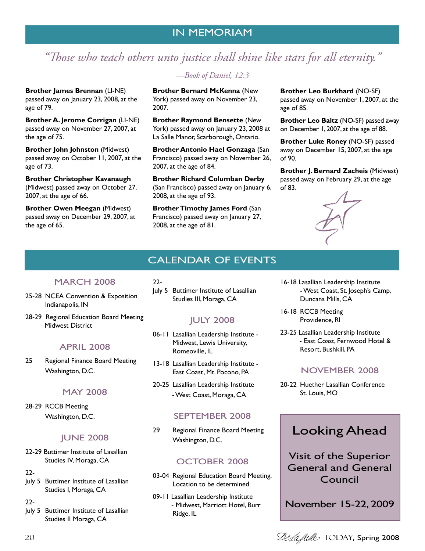## *"Those who teach others unto justice shall shine like stars for all eternity."*

**Brother James Brennan** (LI-NE) passed away on January 23, 2008, at the age of 79.

**Brother A. Jerome Corrigan** (LI-NE) passed away on November 27, 2007, at the age of 75.

**Brother John Johnston** (Midwest) passed away on October 11, 2007, at the age of 73.

**Brother Christopher Kavanaugh**  (Midwest) passed away on October 27, 2007, at the age of 66.

**Brother Owen Meegan** (Midwest) passed away on December 29, 2007, at the age of 65.

*—Book of Daniel, 12:3*

**Brother Bernard McKenna** (New York) passed away on November 23, 2007.

**Brother Raymond Bensette** (New York) passed away on January 23, 2008 at La Salle Manor, Scarborough, Ontario.

**Brother Antonio Hael Gonzaga** (San Francisco) passed away on November 26, 2007, at the age of 84.

**Brother Richard Columban Derby**  (San Francisco) passed away on January 6, 2008, at the age of 93.

**Brother Timothy James Ford** (San Francisco) passed away on January 27, 2008, at the age of 81.

**Brother Leo Burkhard** (NO-SF) passed away on November 1, 2007, at the age of 85.

**Brother Leo Baltz** (NO-SF) passed away on December 1, 2007, at the age of 88.

**Brother Luke Roney** (NO-SF) passed away on December 15, 2007, at the age of 90.

**Brother J. Bernard Zacheis** (Midwest) passed away on February 29, at the age of 83.



## calendar of events

#### **MARCH 2008**

- 25-28 NCEA Convention & Exposition Indianapolis, IN
- 28-29 Regional Education Board Meeting Midwest District

#### April 2008

25 Regional Finance Board Meeting Washington, D.C.

#### **MAY 2008**

28-29 RCCB Meeting Washington, D.C.

#### **JUNE 2008**

- 22-29 Buttimer Institute of Lasallian Studies IV, Moraga, CA
- 22-
- July 5 Buttimer Institute of Lasallian Studies I, Moraga, CA

22-

July 5 Buttimer Institute of Lasallian Studies II Moraga, CA

22-

July 5 Buttimer Institute of Lasallian Studies III, Moraga, CA

#### July 2008

- 06-11 Lasallian Leadership Institute Midwest, Lewis University, Romeoville, IL
- 13-18 Lasallian Leadership Institute East Coast, Mt. Pocono, PA
- 20-25 Lasallian Leadership Institute - West Coast, Moraga, CA

#### September 2008

29 Regional Finance Board Meeting Washington, D.C.

#### OCTOBER 2008

- 03-04 Regional Education Board Meeting, Location to be determined
- 09-11 Lasallian Leadership Institute - Midwest, Marriott Hotel, Burr Ridge, IL
- 16-18 Lasallian Leadership Institute - West Coast, St. Joseph's Camp, Duncans Mills, CA
- 16-18 RCCB Meeting Providence, RI
- 23-25 Lasallian Leadership Institute - East Coast, Fernwood Hotel & Resort, Bushkill, PA

#### November 2008

20-22 Huether Lasallian Conference St. Louis, MO

## Looking Ahead

Visit of the Superior General and General Council

November 15-22, 2009